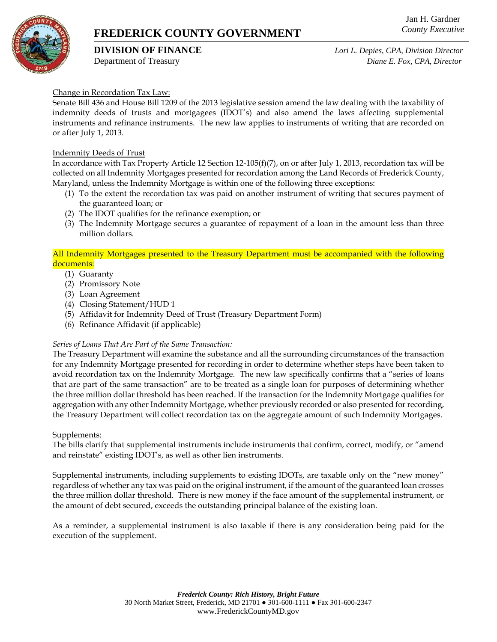# **FREDERICK COUNTY GOVERNMENT**

**DIVISION OF FINANCE** *Lori L. Depies, CPA, Division Director* Department of Treasury *Diane E. Fox, CPA, Director*

### Change in Recordation Tax Law:

Senate Bill 436 and House Bill 1209 of the 2013 legislative session amend the law dealing with the taxability of indemnity deeds of trusts and mortgagees (IDOT's) and also amend the laws affecting supplemental instruments and refinance instruments. The new law applies to instruments of writing that are recorded on or after July 1, 2013.

#### Indemnity Deeds of Trust

In accordance with Tax Property Article 12 Section 12-105(f)(7), on or after July 1, 2013, recordation tax will be collected on all Indemnity Mortgages presented for recordation among the Land Records of Frederick County, Maryland, unless the Indemnity Mortgage is within one of the following three exceptions:

- (1) To the extent the recordation tax was paid on another instrument of writing that secures payment of the guaranteed loan; or
- (2) The IDOT qualifies for the refinance exemption; or
- (3) The Indemnity Mortgage secures a guarantee of repayment of a loan in the amount less than three million dollars.

All Indemnity Mortgages presented to the Treasury Department must be accompanied with the following documents:

- (1) Guaranty
- (2) Promissory Note
- (3) Loan Agreement
- (4) Closing Statement/HUD 1
- (5) Affidavit for Indemnity Deed of Trust (Treasury Department Form)
- (6) Refinance Affidavit (if applicable)

#### *Series of Loans That Are Part of the Same Transaction:*

The Treasury Department will examine the substance and all the surrounding circumstances of the transaction for any Indemnity Mortgage presented for recording in order to determine whether steps have been taken to avoid recordation tax on the Indemnity Mortgage. The new law specifically confirms that a "series of loans that are part of the same transaction" are to be treated as a single loan for purposes of determining whether the three million dollar threshold has been reached. If the transaction for the Indemnity Mortgage qualifies for aggregation with any other Indemnity Mortgage, whether previously recorded or also presented for recording, the Treasury Department will collect recordation tax on the aggregate amount of such Indemnity Mortgages.

#### Supplements:

The bills clarify that supplemental instruments include instruments that confirm, correct, modify, or "amend and reinstate" existing IDOT's, as well as other lien instruments.

Supplemental instruments, including supplements to existing IDOTs, are taxable only on the "new money" regardless of whether any tax was paid on the original instrument, if the amount of the guaranteed loan crosses the three million dollar threshold. There is new money if the face amount of the supplemental instrument, or the amount of debt secured, exceeds the outstanding principal balance of the existing loan.

As a reminder, a supplemental instrument is also taxable if there is any consideration being paid for the execution of the supplement.